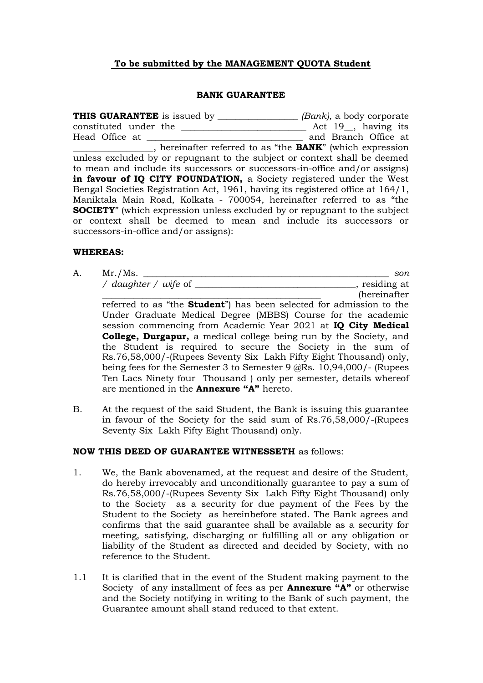## **To be submitted by the MANAGEMENT QUOTA Student**

#### **BANK GUARANTEE**

**THIS GUARANTEE** is issued by \_\_\_\_\_\_\_\_\_\_\_\_\_\_\_\_\_\_ *(Bank)*, a body corporate constituted under the \_\_\_\_\_\_\_\_\_\_\_\_\_\_\_\_\_\_\_\_\_\_\_\_\_\_\_\_ Act 19\_\_, having its Head Office at \_\_\_\_\_\_\_\_\_\_\_\_\_\_\_\_\_\_\_\_\_\_\_\_\_\_\_\_\_\_\_\_\_\_\_ and Branch Office at \_\_\_\_\_\_\_\_\_\_\_\_\_\_\_\_\_\_, hereinafter referred to as "the **BANK**" (which expression unless excluded by or repugnant to the subject or context shall be deemed to mean and include its successors or successors-in-office and/or assigns) in favour of IQ CITY FOUNDATION, a Society registered under the West Bengal Societies Registration Act, 1961, having its registered office at 164/1, Maniktala Main Road, Kolkata - 700054, hereinafter referred to as "the **SOCIETY**" (which expression unless excluded by or repugnant to the subject or context shall be deemed to mean and include its successors or successors-in-office and/or assigns):

#### **WHEREAS:**

A. Mr./Ms. \_\_\_\_\_\_\_\_\_\_\_\_\_\_\_\_\_\_\_\_\_\_\_\_\_\_\_\_\_\_\_\_\_\_\_\_\_\_\_\_\_\_\_\_\_\_\_\_\_\_\_\_\_\_\_ *son / daughter / wife* of \_\_\_\_\_\_\_\_\_\_\_\_\_\_\_\_\_\_\_\_\_\_\_\_\_\_\_\_\_\_\_\_\_\_\_\_, residing at

 $(hereinafter)$ referred to as "the **Student**") has been selected for admission to the Under Graduate Medical Degree (MBBS) Course for the academic session commencing from Academic Year 2021 at **IQ City Medical College, Durgapur,** a medical college being run by the Society, and the Student is required to secure the Society in the sum of Rs.76,58,000/-(Rupees Seventy Six Lakh Fifty Eight Thousand) only, being fees for the Semester 3 to Semester 9 @Rs. 10,94,000/- (Rupees Ten Lacs Ninety four Thousand ) only per semester, details whereof are mentioned in the **Annexure "A"** hereto.

B. At the request of the said Student, the Bank is issuing this guarantee in favour of the Society for the said sum of Rs.76,58,000/-(Rupees Seventy Six Lakh Fifty Eight Thousand) only.

### **NOW THIS DEED OF GUARANTEE WITNESSETH** as follows:

- 1. We, the Bank abovenamed, at the request and desire of the Student, do hereby irrevocably and unconditionally guarantee to pay a sum of Rs.76,58,000/-(Rupees Seventy Six Lakh Fifty Eight Thousand) only to the Society as a security for due payment of the Fees by the Student to the Society as hereinbefore stated. The Bank agrees and confirms that the said guarantee shall be available as a security for meeting, satisfying, discharging or fulfilling all or any obligation or liability of the Student as directed and decided by Society, with no reference to the Student.
- 1.1 It is clarified that in the event of the Student making payment to the Society of any installment of fees as per **Annexure "A"** or otherwise and the Society notifying in writing to the Bank of such payment, the Guarantee amount shall stand reduced to that extent.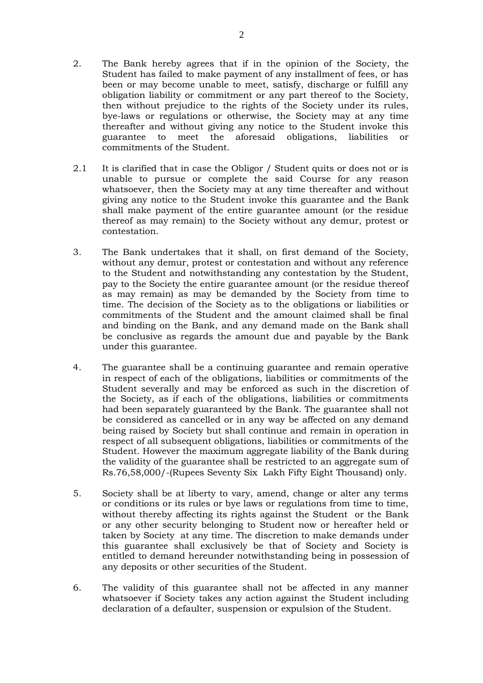- 2. The Bank hereby agrees that if in the opinion of the Society, the Student has failed to make payment of any installment of fees, or has been or may become unable to meet, satisfy, discharge or fulfill any obligation liability or commitment or any part thereof to the Society, then without prejudice to the rights of the Society under its rules, bye-laws or regulations or otherwise, the Society may at any time thereafter and without giving any notice to the Student invoke this guarantee to meet the aforesaid obligations, liabilities or commitments of the Student.
- 2.1 It is clarified that in case the Obligor / Student quits or does not or is unable to pursue or complete the said Course for any reason whatsoever, then the Society may at any time thereafter and without giving any notice to the Student invoke this guarantee and the Bank shall make payment of the entire guarantee amount (or the residue thereof as may remain) to the Society without any demur, protest or contestation.
- 3. The Bank undertakes that it shall, on first demand of the Society, without any demur, protest or contestation and without any reference to the Student and notwithstanding any contestation by the Student, pay to the Society the entire guarantee amount (or the residue thereof as may remain) as may be demanded by the Society from time to time. The decision of the Society as to the obligations or liabilities or commitments of the Student and the amount claimed shall be final and binding on the Bank, and any demand made on the Bank shall be conclusive as regards the amount due and payable by the Bank under this guarantee.
- 4. The guarantee shall be a continuing guarantee and remain operative in respect of each of the obligations, liabilities or commitments of the Student severally and may be enforced as such in the discretion of the Society, as if each of the obligations, liabilities or commitments had been separately guaranteed by the Bank. The guarantee shall not be considered as cancelled or in any way be affected on any demand being raised by Society but shall continue and remain in operation in respect of all subsequent obligations, liabilities or commitments of the Student. However the maximum aggregate liability of the Bank during the validity of the guarantee shall be restricted to an aggregate sum of Rs.76,58,000/-(Rupees Seventy Six Lakh Fifty Eight Thousand) only.
- 5. Society shall be at liberty to vary, amend, change or alter any terms or conditions or its rules or bye laws or regulations from time to time, without thereby affecting its rights against the Student or the Bank or any other security belonging to Student now or hereafter held or taken by Society at any time. The discretion to make demands under this guarantee shall exclusively be that of Society and Society is entitled to demand hereunder notwithstanding being in possession of any deposits or other securities of the Student.
- 6. The validity of this guarantee shall not be affected in any manner whatsoever if Society takes any action against the Student including declaration of a defaulter, suspension or expulsion of the Student.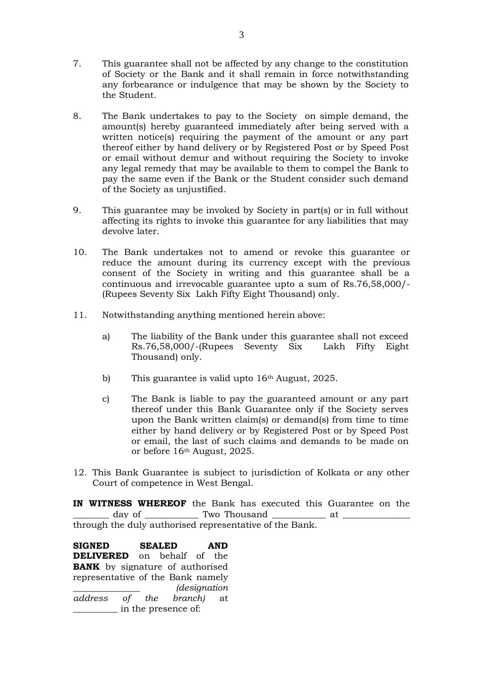- 7. This guarantee shall not be affected by any change to the constitution of Society or the Bank and it shall remain in force notwithstanding any forbearance or indulgence that may be shown by the Society to the Student.
- 8. The Bank undertakes to pay to the Society on simple demand, the amount(s) hereby guaranteed immediately after being served with a written notice(s) requiring the payment of the amount or any part thereof either by hand delivery or by Registered Post or by Speed Post or email without demur and without requiring the Society to invoke any legal remedy that may be available to them to compel the Bank to pay the same even if the Bank or the Student consider such demand of the Society as unjustified.
- 9. This guarantee may be invoked by Society in part(s) or in full without affecting its rights to invoke this guarantee for any liabilities that may devolve later.
- 10. The Bank undertakes not to amend or revoke this guarantee or reduce the amount during its currency except with the previous consent of the Society in writing and this guarantee shall be a continuous and irrevocable guarantee upto a sum of Rs.76,58,000/- (Rupees Seventy Six Lakh Fifty Eight Thousand) only.
- 11. Notwithstanding anything mentioned herein above:
	- a) The liability of the Bank under this guarantee shall not exceed Rs.76,58,000/-(Rupees Seventy Six Lakh Fifty Eight Thousand) only.
	- b) This guarantee is valid upto 16<sup>th</sup> August, 2025.
	- c) The Bank is liable to pay the guaranteed amount or any part thereof under this Bank Guarantee only if the Society serves upon the Bank written claim(s) or demand(s) from time to time either by hand delivery or by Registered Post or by Speed Post or email, the last of such claims and demands to be made on or before 16th August, 2025.
- 12. This Bank Guarantee is subject to jurisdiction of Kolkata or any other Court of competence in West Bengal.

**IN WITNESS WHEREOF** the Bank has executed this Guarantee on the \_\_\_\_\_\_\_\_ day of \_\_\_\_\_\_\_\_\_\_\_\_ Two Thousand \_\_\_\_\_\_\_\_\_\_\_\_ at \_\_\_\_\_\_\_\_\_\_\_\_\_\_\_ through the duly authorised representative of the Bank.

**SIGNED SEALED AND DELIVERED** on behalf of the **BANK** by signature of authorised representative of the Bank namely \_\_\_\_\_\_\_\_\_\_\_\_\_\_\_ *(designation address of the branch)* at \_\_\_\_\_\_\_\_\_\_ in the presence of: